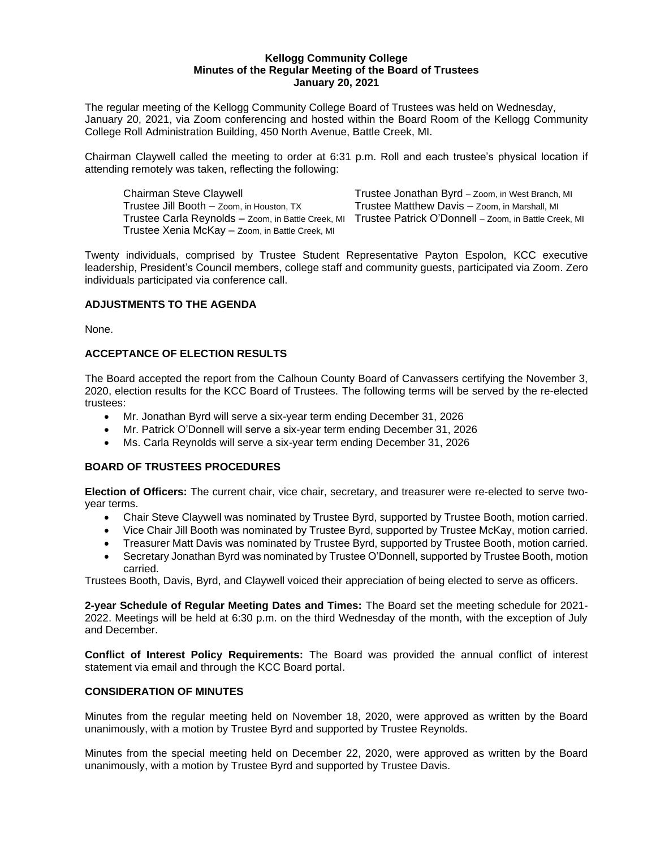#### **Kellogg Community College Minutes of the Regular Meeting of the Board of Trustees January 20, 2021**

The regular meeting of the Kellogg Community College Board of Trustees was held on Wednesday, January 20, 2021, via Zoom conferencing and hosted within the Board Room of the Kellogg Community College Roll Administration Building, 450 North Avenue, Battle Creek, MI.

Chairman Claywell called the meeting to order at 6:31 p.m. Roll and each trustee's physical location if attending remotely was taken, reflecting the following:

Chairman Steve Claywell Trustee Jonathan Byrd – Zoom, in West Branch, MI Trustee Jill Booth – Zoom, in Houston, TX Trustee Matthew Davis – Zoom, in Marshall, MI Trustee Xenia McKay – Zoom, in Battle Creek, MI

Trustee Carla Reynolds – Zoom, in Battle Creek, MI Trustee Patrick O'Donnell – Zoom, in Battle Creek, MI

Twenty individuals, comprised by Trustee Student Representative Payton Espolon, KCC executive leadership, President's Council members, college staff and community guests, participated via Zoom. Zero individuals participated via conference call.

# **ADJUSTMENTS TO THE AGENDA**

None.

# **ACCEPTANCE OF ELECTION RESULTS**

The Board accepted the report from the Calhoun County Board of Canvassers certifying the November 3, 2020, election results for the KCC Board of Trustees. The following terms will be served by the re-elected trustees:

- Mr. Jonathan Byrd will serve a six-year term ending December 31, 2026
- Mr. Patrick O'Donnell will serve a six-year term ending December 31, 2026
- Ms. Carla Reynolds will serve a six-year term ending December 31, 2026

#### **BOARD OF TRUSTEES PROCEDURES**

**Election of Officers:** The current chair, vice chair, secretary, and treasurer were re-elected to serve twoyear terms.

- Chair Steve Claywell was nominated by Trustee Byrd, supported by Trustee Booth, motion carried.
- Vice Chair Jill Booth was nominated by Trustee Byrd, supported by Trustee McKay, motion carried.
- Treasurer Matt Davis was nominated by Trustee Byrd, supported by Trustee Booth, motion carried.
- Secretary Jonathan Byrd was nominated by Trustee O'Donnell, supported by Trustee Booth, motion carried.

Trustees Booth, Davis, Byrd, and Claywell voiced their appreciation of being elected to serve as officers.

**2-year Schedule of Regular Meeting Dates and Times:** The Board set the meeting schedule for 2021- 2022. Meetings will be held at 6:30 p.m. on the third Wednesday of the month, with the exception of July and December.

**Conflict of Interest Policy Requirements:** The Board was provided the annual conflict of interest statement via email and through the KCC Board portal.

#### **CONSIDERATION OF MINUTES**

Minutes from the regular meeting held on November 18, 2020, were approved as written by the Board unanimously, with a motion by Trustee Byrd and supported by Trustee Reynolds.

Minutes from the special meeting held on December 22, 2020, were approved as written by the Board unanimously, with a motion by Trustee Byrd and supported by Trustee Davis.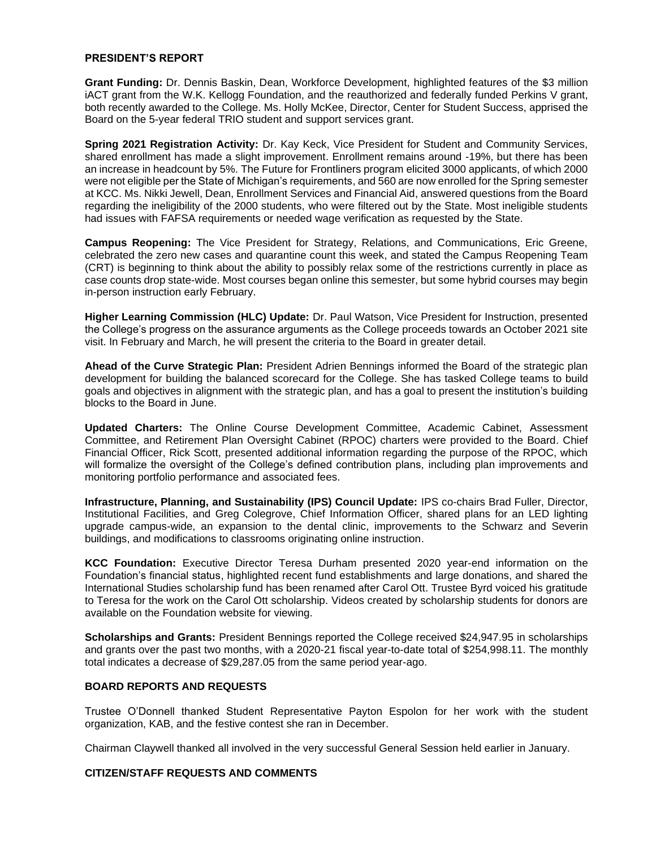#### **PRESIDENT'S REPORT**

**Grant Funding:** Dr. Dennis Baskin, Dean, Workforce Development, highlighted features of the \$3 million iACT grant from the W.K. Kellogg Foundation, and the reauthorized and federally funded Perkins V grant, both recently awarded to the College. Ms. Holly McKee, Director, Center for Student Success, apprised the Board on the 5-year federal TRIO student and support services grant.

**Spring 2021 Registration Activity:** Dr. Kay Keck, Vice President for Student and Community Services, shared enrollment has made a slight improvement. Enrollment remains around -19%, but there has been an increase in headcount by 5%. The Future for Frontliners program elicited 3000 applicants, of which 2000 were not eligible per the State of Michigan's requirements, and 560 are now enrolled for the Spring semester at KCC. Ms. Nikki Jewell, Dean, Enrollment Services and Financial Aid, answered questions from the Board regarding the ineligibility of the 2000 students, who were filtered out by the State. Most ineligible students had issues with FAFSA requirements or needed wage verification as requested by the State.

**Campus Reopening:** The Vice President for Strategy, Relations, and Communications, Eric Greene, celebrated the zero new cases and quarantine count this week, and stated the Campus Reopening Team (CRT) is beginning to think about the ability to possibly relax some of the restrictions currently in place as case counts drop state-wide. Most courses began online this semester, but some hybrid courses may begin in-person instruction early February.

**Higher Learning Commission (HLC) Update:** Dr. Paul Watson, Vice President for Instruction, presented the College's progress on the assurance arguments as the College proceeds towards an October 2021 site visit. In February and March, he will present the criteria to the Board in greater detail.

**Ahead of the Curve Strategic Plan:** President Adrien Bennings informed the Board of the strategic plan development for building the balanced scorecard for the College. She has tasked College teams to build goals and objectives in alignment with the strategic plan, and has a goal to present the institution's building blocks to the Board in June.

**Updated Charters:** The Online Course Development Committee, Academic Cabinet, Assessment Committee, and Retirement Plan Oversight Cabinet (RPOC) charters were provided to the Board. Chief Financial Officer, Rick Scott, presented additional information regarding the purpose of the RPOC, which will formalize the oversight of the College's defined contribution plans, including plan improvements and monitoring portfolio performance and associated fees.

**Infrastructure, Planning, and Sustainability (IPS) Council Update:** IPS co-chairs Brad Fuller, Director, Institutional Facilities, and Greg Colegrove, Chief Information Officer, shared plans for an LED lighting upgrade campus-wide, an expansion to the dental clinic, improvements to the Schwarz and Severin buildings, and modifications to classrooms originating online instruction.

**KCC Foundation:** Executive Director Teresa Durham presented 2020 year-end information on the Foundation's financial status, highlighted recent fund establishments and large donations, and shared the International Studies scholarship fund has been renamed after Carol Ott. Trustee Byrd voiced his gratitude to Teresa for the work on the Carol Ott scholarship. Videos created by scholarship students for donors are available on the Foundation website for viewing.

**Scholarships and Grants:** President Bennings reported the College received \$24,947.95 in scholarships and grants over the past two months, with a 2020-21 fiscal year-to-date total of \$254,998.11. The monthly total indicates a decrease of \$29,287.05 from the same period year-ago.

#### **BOARD REPORTS AND REQUESTS**

Trustee O'Donnell thanked Student Representative Payton Espolon for her work with the student organization, KAB, and the festive contest she ran in December.

Chairman Claywell thanked all involved in the very successful General Session held earlier in January.

#### **CITIZEN/STAFF REQUESTS AND COMMENTS**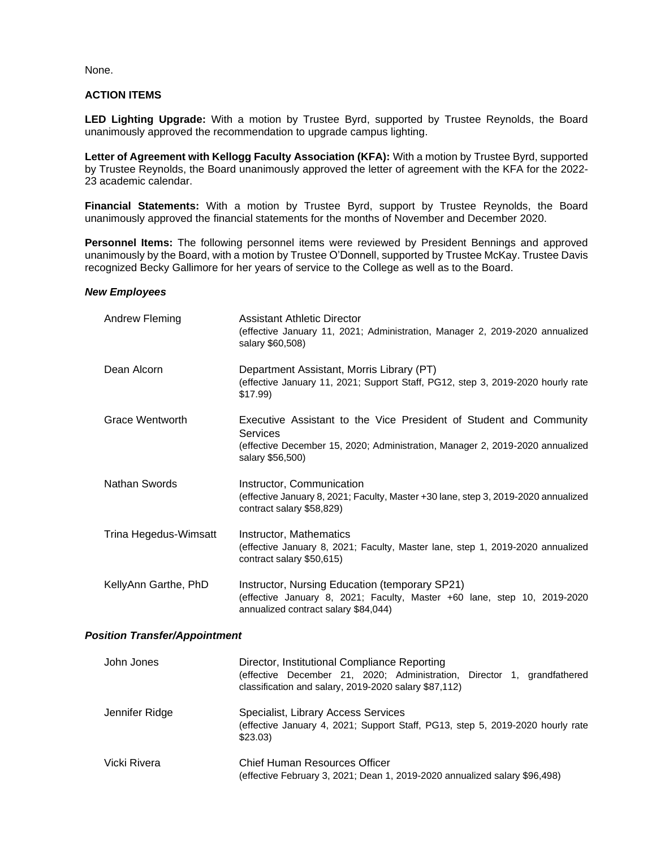None.

# **ACTION ITEMS**

**LED Lighting Upgrade:** With a motion by Trustee Byrd, supported by Trustee Reynolds, the Board unanimously approved the recommendation to upgrade campus lighting.

**Letter of Agreement with Kellogg Faculty Association (KFA):** With a motion by Trustee Byrd, supported by Trustee Reynolds, the Board unanimously approved the letter of agreement with the KFA for the 2022- 23 academic calendar.

**Financial Statements:** With a motion by Trustee Byrd, support by Trustee Reynolds, the Board unanimously approved the financial statements for the months of November and December 2020.

**Personnel Items:** The following personnel items were reviewed by President Bennings and approved unanimously by the Board, with a motion by Trustee O'Donnell, supported by Trustee McKay. Trustee Davis recognized Becky Gallimore for her years of service to the College as well as to the Board.

#### *New Employees*

| Andrew Fleming                       | <b>Assistant Athletic Director</b><br>(effective January 11, 2021; Administration, Manager 2, 2019-2020 annualized<br>salary \$60,508)                                              |  |  |
|--------------------------------------|-------------------------------------------------------------------------------------------------------------------------------------------------------------------------------------|--|--|
| Dean Alcorn                          | Department Assistant, Morris Library (PT)<br>(effective January 11, 2021; Support Staff, PG12, step 3, 2019-2020 hourly rate<br>\$17.99                                             |  |  |
| Grace Wentworth                      | Executive Assistant to the Vice President of Student and Community<br>Services<br>(effective December 15, 2020; Administration, Manager 2, 2019-2020 annualized<br>salary \$56,500) |  |  |
| Nathan Swords                        | Instructor, Communication<br>(effective January 8, 2021; Faculty, Master +30 lane, step 3, 2019-2020 annualized<br>contract salary \$58,829)                                        |  |  |
| Trina Hegedus-Wimsatt                | Instructor, Mathematics<br>(effective January 8, 2021; Faculty, Master lane, step 1, 2019-2020 annualized<br>contract salary \$50,615)                                              |  |  |
| KellyAnn Garthe, PhD                 | Instructor, Nursing Education (temporary SP21)<br>(effective January 8, 2021; Faculty, Master +60 lane, step 10, 2019-2020<br>annualized contract salary \$84,044)                  |  |  |
| <b>Position Transfer/Appointment</b> |                                                                                                                                                                                     |  |  |

| John Jones     | Director, Institutional Compliance Reporting<br>(effective December 21, 2020; Administration, Director 1, grandfathered<br>classification and salary, 2019-2020 salary \$87,112) |  |  |
|----------------|----------------------------------------------------------------------------------------------------------------------------------------------------------------------------------|--|--|
| Jennifer Ridge | Specialist, Library Access Services<br>(effective January 4, 2021; Support Staff, PG13, step 5, 2019-2020 hourly rate<br>\$23.03                                                 |  |  |
| Vicki Rivera   | Chief Human Resources Officer<br>(effective February 3, 2021; Dean 1, 2019-2020 annualized salary \$96,498)                                                                      |  |  |